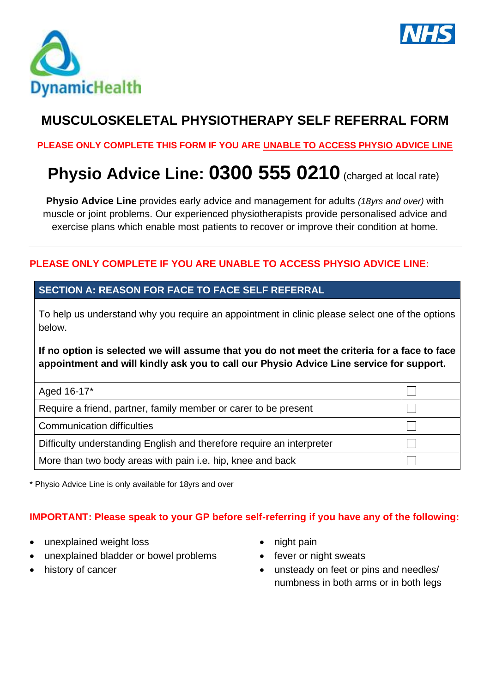



## **MUSCULOSKELETAL PHYSIOTHERAPY SELF REFERRAL FORM**

#### **PLEASE ONLY COMPLETE THIS FORM IF YOU ARE UNABLE TO ACCESS PHYSIO ADVICE LINE**

# **Physio Advice Line: 0300 555 0210** (charged at local rate)

**Physio Advice Line** provides early advice and management for adults *(18yrs and over)* with muscle or joint problems. Our experienced physiotherapists provide personalised advice and exercise plans which enable most patients to recover or improve their condition at home.

#### **PLEASE ONLY COMPLETE IF YOU ARE UNABLE TO ACCESS PHYSIO ADVICE LINE:**

#### **SECTION A: REASON FOR FACE TO FACE SELF REFERRAL**

To help us understand why you require an appointment in clinic please select one of the options below.

**If no option is selected we will assume that you do not meet the criteria for a face to face appointment and will kindly ask you to call our Physio Advice Line service for support.**

| Aged 16-17*                                                           |  |
|-----------------------------------------------------------------------|--|
| Require a friend, partner, family member or carer to be present       |  |
| <b>Communication difficulties</b>                                     |  |
| Difficulty understanding English and therefore require an interpreter |  |
| More than two body areas with pain i.e. hip, knee and back            |  |

\* Physio Advice Line is only available for 18yrs and over

#### **IMPORTANT: Please speak to your GP before self-referring if you have any of the following:**

- unexplained weight loss
- unexplained bladder or bowel problems
- history of cancer
- night pain
- fever or night sweats
- unsteady on feet or pins and needles/ numbness in both arms or in both legs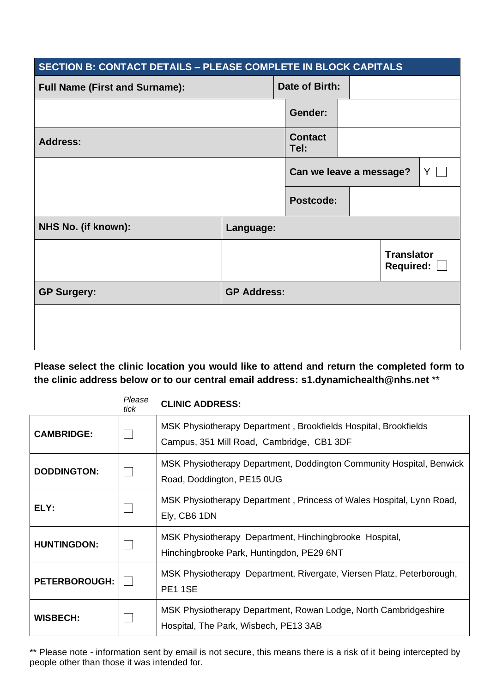| <b>SECTION B: CONTACT DETAILS - PLEASE COMPLETE IN BLOCK CAPITALS</b> |                    |  |                         |  |                                       |  |   |
|-----------------------------------------------------------------------|--------------------|--|-------------------------|--|---------------------------------------|--|---|
| <b>Full Name (First and Surname):</b>                                 |                    |  | Date of Birth:          |  |                                       |  |   |
|                                                                       |                    |  | Gender:                 |  |                                       |  |   |
| <b>Address:</b>                                                       |                    |  | <b>Contact</b><br>Tel:  |  |                                       |  |   |
|                                                                       |                    |  | Can we leave a message? |  |                                       |  | Y |
|                                                                       |                    |  | Postcode:               |  |                                       |  |   |
| NHS No. (if known):                                                   | Language:          |  |                         |  |                                       |  |   |
|                                                                       |                    |  |                         |  | <b>Translator</b><br><b>Required:</b> |  |   |
| <b>GP Surgery:</b>                                                    | <b>GP Address:</b> |  |                         |  |                                       |  |   |
|                                                                       |                    |  |                         |  |                                       |  |   |

**Please select the clinic location you would like to attend and return the completed form to the clinic address below or to our central email address: s1.dynamichealth@nhs.net** \*\*

|                      | Please<br>tick | <b>CLINIC ADDRESS:</b>                                                                                       |
|----------------------|----------------|--------------------------------------------------------------------------------------------------------------|
| <b>CAMBRIDGE:</b>    |                | MSK Physiotherapy Department, Brookfields Hospital, Brookfields<br>Campus, 351 Mill Road, Cambridge, CB1 3DF |
| <b>DODDINGTON:</b>   |                | MSK Physiotherapy Department, Doddington Community Hospital, Benwick<br>Road, Doddington, PE15 0UG           |
| ELY:                 |                | MSK Physiotherapy Department, Princess of Wales Hospital, Lynn Road,<br>Ely, CB6 1DN                         |
| <b>HUNTINGDON:</b>   |                | MSK Physiotherapy Department, Hinchingbrooke Hospital,<br>Hinchingbrooke Park, Huntingdon, PE29 6NT          |
| <b>PETERBOROUGH:</b> |                | MSK Physiotherapy Department, Rivergate, Viersen Platz, Peterborough,<br><b>PE11SE</b>                       |
| <b>WISBECH:</b>      |                | MSK Physiotherapy Department, Rowan Lodge, North Cambridgeshire<br>Hospital, The Park, Wisbech, PE13 3AB     |

\*\* Please note - information sent by email is not secure, this means there is a risk of it being intercepted by people other than those it was intended for.